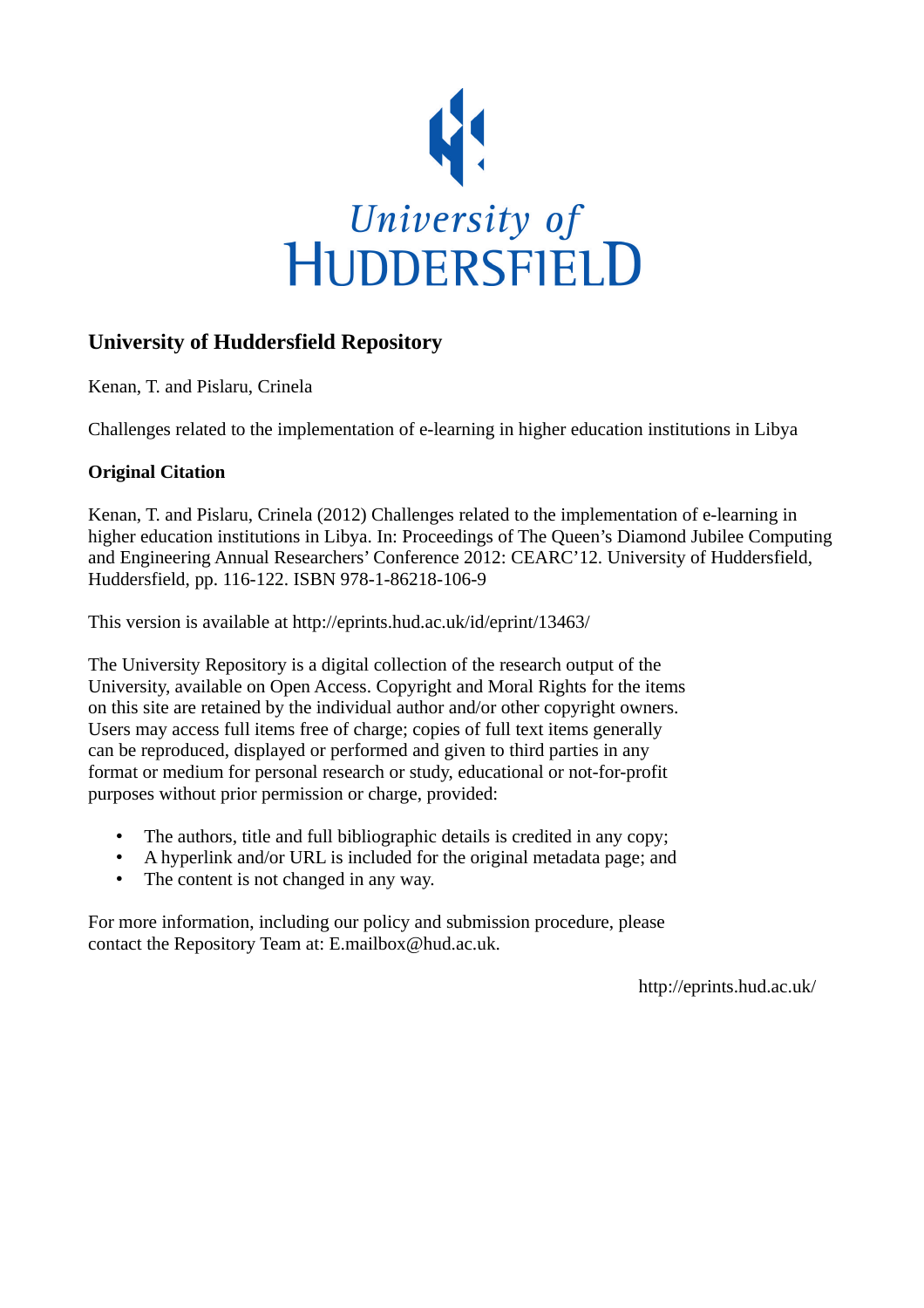

# **University of Huddersfield Repository**

Kenan, T. and Pislaru, Crinela

Challenges related to the implementation of e-learning in higher education institutions in Libya

# **Original Citation**

Kenan, T. and Pislaru, Crinela (2012) Challenges related to the implementation of e-learning in higher education institutions in Libya. In: Proceedings of The Queen's Diamond Jubilee Computing and Engineering Annual Researchers' Conference 2012: CEARC'12. University of Huddersfield, Huddersfield, pp. 116-122. ISBN 978-1-86218-106-9

This version is available at http://eprints.hud.ac.uk/id/eprint/13463/

The University Repository is a digital collection of the research output of the University, available on Open Access. Copyright and Moral Rights for the items on this site are retained by the individual author and/or other copyright owners. Users may access full items free of charge; copies of full text items generally can be reproduced, displayed or performed and given to third parties in any format or medium for personal research or study, educational or not-for-profit purposes without prior permission or charge, provided:

- The authors, title and full bibliographic details is credited in any copy;
- A hyperlink and/or URL is included for the original metadata page; and
- The content is not changed in any way.

For more information, including our policy and submission procedure, please contact the Repository Team at: E.mailbox@hud.ac.uk.

http://eprints.hud.ac.uk/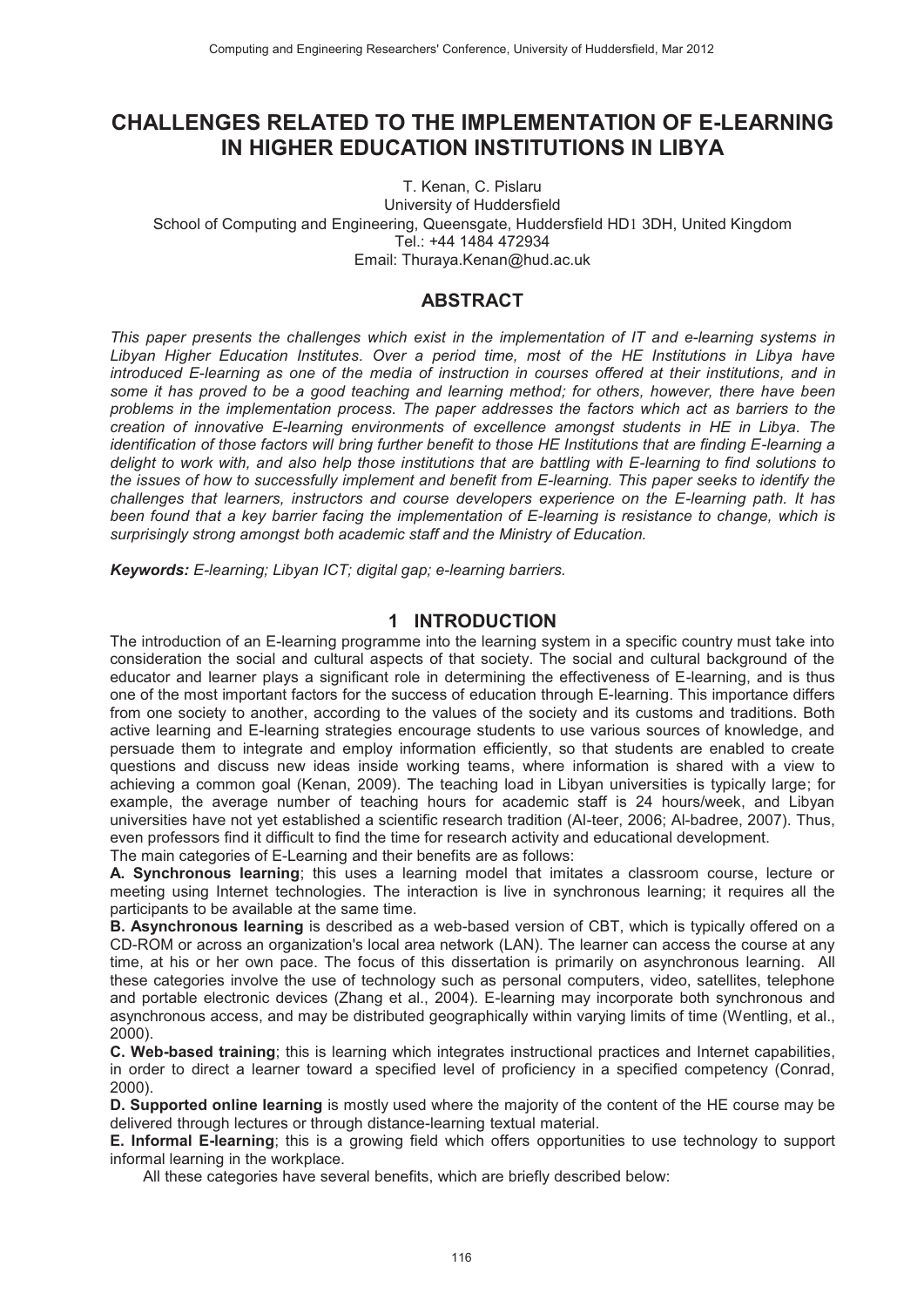# CHALLENGES RELATED TO THE IMPLEMENTATION OF E-LEARNING IN HIGHER EDUCATION INSTITUTIONS IN LIBYA

T. Kenan, C. Pislaru University of Huddersfield School of Computing and Engineering, Queensgate, Huddersfield HD1 3DH, United Kingdom Tel.: +44 1484 472934 Email: Thuraya.Kenan@hud.ac.uk

# **ABSTRACT**

This paper presents the challenges which exist in the implementation of IT and e-learning systems in Libyan Higher Education Institutes. Over a period time, most of the HE Institutions in Libya have introduced E-learning as one of the media of instruction in courses offered at their institutions, and in some it has proved to be a good teaching and learning method; for others, however, there have been problems in the implementation process. The paper addresses the factors which act as barriers to the creation of innovative E-learning environments of excellence amongst students in HE in Libya. The identification of those factors will bring further benefit to those HE Institutions that are finding E-learning a delight to work with, and also help those institutions that are battling with E-learning to find solutions to the issues of how to successfully implement and benefit from E-learning. This paper seeks to identify the challenges that learners, instructors and course developers experience on the E-learning path. It has been found that a key barrier facing the implementation of E-learning is resistance to change, which is surprisingly strong amongst both academic staff and the Ministry of Education.

Keywords: E-learning: Libyan ICT: digital gap: e-learning barriers.

### 1 INTRODUCTION

The introduction of an E-learning programme into the learning system in a specific country must take into consideration the social and cultural aspects of that society. The social and cultural background of the educator and learner plays a significant role in determining the effectiveness of E-learning, and is thus one of the most important factors for the success of education through E-learning. This importance differs from one society to another, according to the values of the society and its customs and traditions. Both active learning and E-learning strategies encourage students to use various sources of knowledge, and persuade them to integrate and employ information efficiently, so that students are enabled to create questions and discuss new ideas inside working teams, where information is shared with a view to achieving a common goal (Kenan, 2009). The teaching load in Libyan universities is typically large; for example, the average number of teaching hours for academic staff is 24 hours/week, and Libyan universities have not yet established a scientific research tradition (AI-teer, 2006; AI-badree, 2007). Thus, even professors find it difficult to find the time for research activity and educational development.

The main categories of E-Learning and their benefits are as follows:

A. Synchronous learning; this uses a learning model that imitates a classroom course, lecture or meeting using Internet technologies. The interaction is live in synchronous learning; it requires all the participants to be available at the same time.

B. Asynchronous learning is described as a web-based version of CBT, which is typically offered on a CD-ROM or across an organization's local area network (LAN). The learner can access the course at any time, at his or her own pace. The focus of this dissertation is primarily on asynchronous learning. All these categories involve the use of technology such as personal computers, video, satellites, telephone and portable electronic devices (Zhang et al., 2004). E-learning may incorporate both synchronous and asynchronous access, and may be distributed geographically within varying limits of time (Wentling, et al., 2000)

C. Web-based training; this is learning which integrates instructional practices and Internet capabilities, in order to direct a learner toward a specified level of proficiency in a specified competency (Conrad,  $2000$ ).

D. Supported online learning is mostly used where the majority of the content of the HE course may be delivered through lectures or through distance-learning textual material.

**E. Informal E-learning**; this is a growing field which offers opportunities to use technology to support informal learning in the workplace.

All these categories have several benefits, which are briefly described below: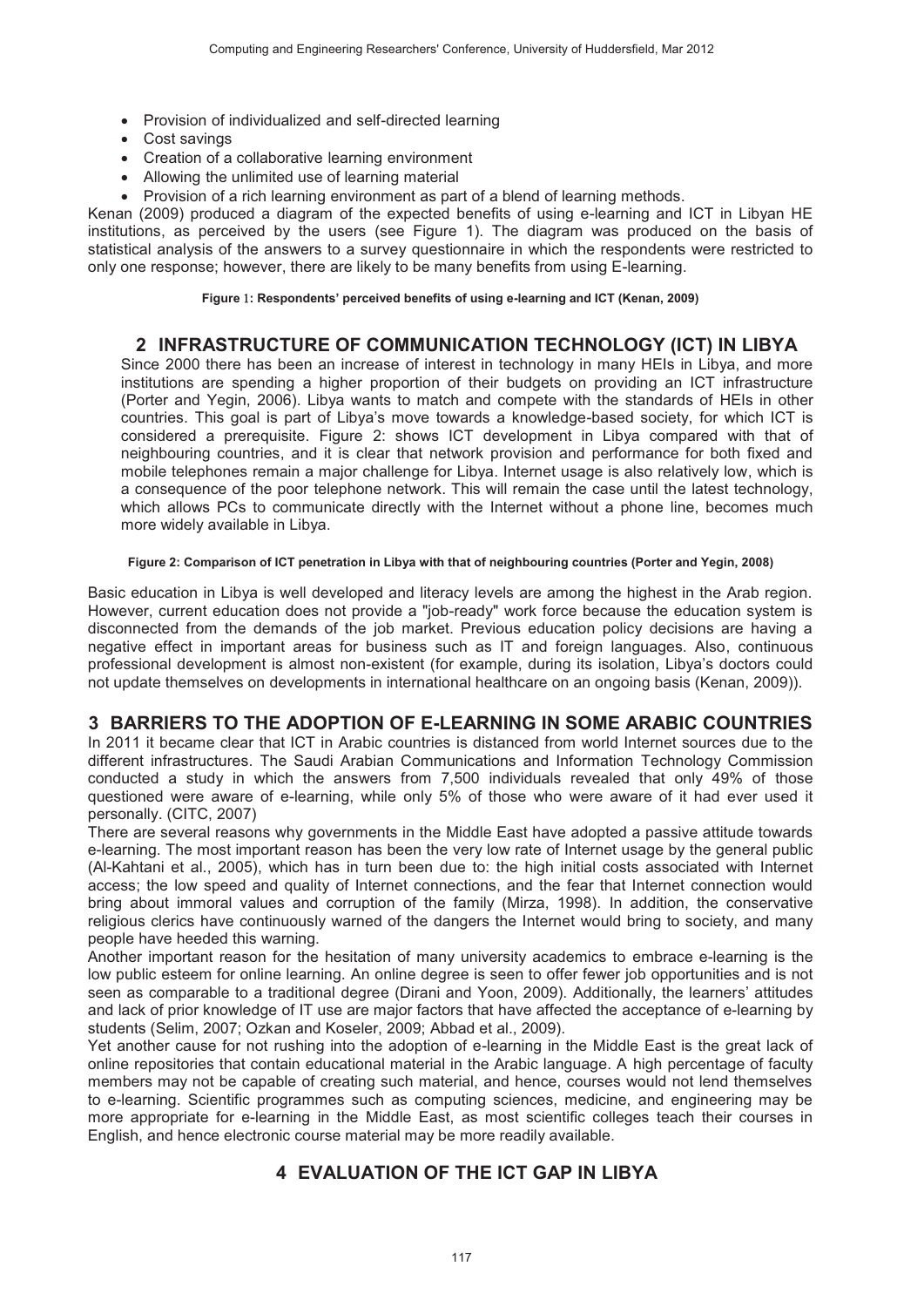- Provision of individualized and self-directed learning
- Cost savings
- Creation of a collaborative learning environment
- Allowing the unlimited use of learning material
- Provision of a rich learning environment as part of a blend of learning methods.

Kenan (2009) produced a diagram of the expected benefits of using e-learning and ICT in Libyan HE institutions, as perceived by the users (see Figure 1). The diagram was produced on the basis of statistical analysis of the answers to a survey questionnaire in which the respondents were restricted to only one response: however, there are likely to be many benefits from using E-learning.

Figure 1: Respondents' perceived benefits of using e-learning and ICT (Kenan, 2009)

# 2 INFRASTRUCTURE OF COMMUNICATION TECHNOLOGY (ICT) IN LIBYA

Since 2000 there has been an increase of interest in technology in many HEIs in Libya, and more institutions are spending a higher proportion of their budgets on providing an ICT infrastructure (Porter and Yegin, 2006). Libya wants to match and compete with the standards of HEIs in other countries. This goal is part of Libya's move towards a knowledge-based society, for which ICT is considered a prerequisite. Figure 2: shows ICT development in Libya compared with that of neighbouring countries, and it is clear that network provision and performance for both fixed and mobile telephones remain a major challenge for Libya. Internet usage is also relatively low, which is a consequence of the poor telephone network. This will remain the case until the latest technology, which allows PCs to communicate directly with the Internet without a phone line, becomes much more widely available in Libya.

#### Figure 2: Comparison of ICT penetration in Libya with that of neighbouring countries (Porter and Yegin, 2008)

Basic education in Libya is well developed and literacy levels are among the highest in the Arab region. However, current education does not provide a "job-ready" work force because the education system is disconnected from the demands of the job market. Previous education policy decisions are having a negative effect in important areas for business such as IT and foreign languages. Also, continuous professional development is almost non-existent (for example, during its isolation, Libya's doctors could not update themselves on developments in international healthcare on an ongoing basis (Kenan, 2009)).

# 3 BARRIERS TO THE ADOPTION OF E-LEARNING IN SOME ARABIC COUNTRIES

In 2011 it became clear that ICT in Arabic countries is distanced from world Internet sources due to the different infrastructures. The Saudi Arabian Communications and Information Technology Commission conducted a study in which the answers from 7,500 individuals revealed that only 49% of those questioned were aware of e-learning, while only 5% of those who were aware of it had ever used it personally. (CITC, 2007)

There are several reasons why governments in the Middle East have adopted a passive attitude towards e-learning. The most important reason has been the very low rate of Internet usage by the general public (Al-Kahtani et al., 2005), which has in turn been due to: the high initial costs associated with Internet access; the low speed and quality of Internet connections, and the fear that Internet connection would bring about immoral values and corruption of the family (Mirza, 1998). In addition, the conservative religious clerics have continuously warned of the dangers the Internet would bring to society, and many people have heeded this warning.

Another important reason for the hesitation of many university academics to embrace e-learning is the low public esteem for online learning. An online degree is seen to offer fewer job opportunities and is not seen as comparable to a traditional degree (Dirani and Yoon, 2009). Additionally, the learners' attitudes and lack of prior knowledge of IT use are major factors that have affected the acceptance of e-learning by students (Selim, 2007; Ozkan and Koseler, 2009; Abbad et al., 2009).

Yet another cause for not rushing into the adoption of e-learning in the Middle East is the great lack of online repositories that contain educational material in the Arabic language. A high percentage of faculty members may not be capable of creating such material, and hence, courses would not lend themselves to e-learning. Scientific programmes such as computing sciences, medicine, and engineering may be more appropriate for e-learning in the Middle East, as most scientific colleges teach their courses in English, and hence electronic course material may be more readily available.

# **4 EVALUATION OF THE ICT GAP IN LIBYA**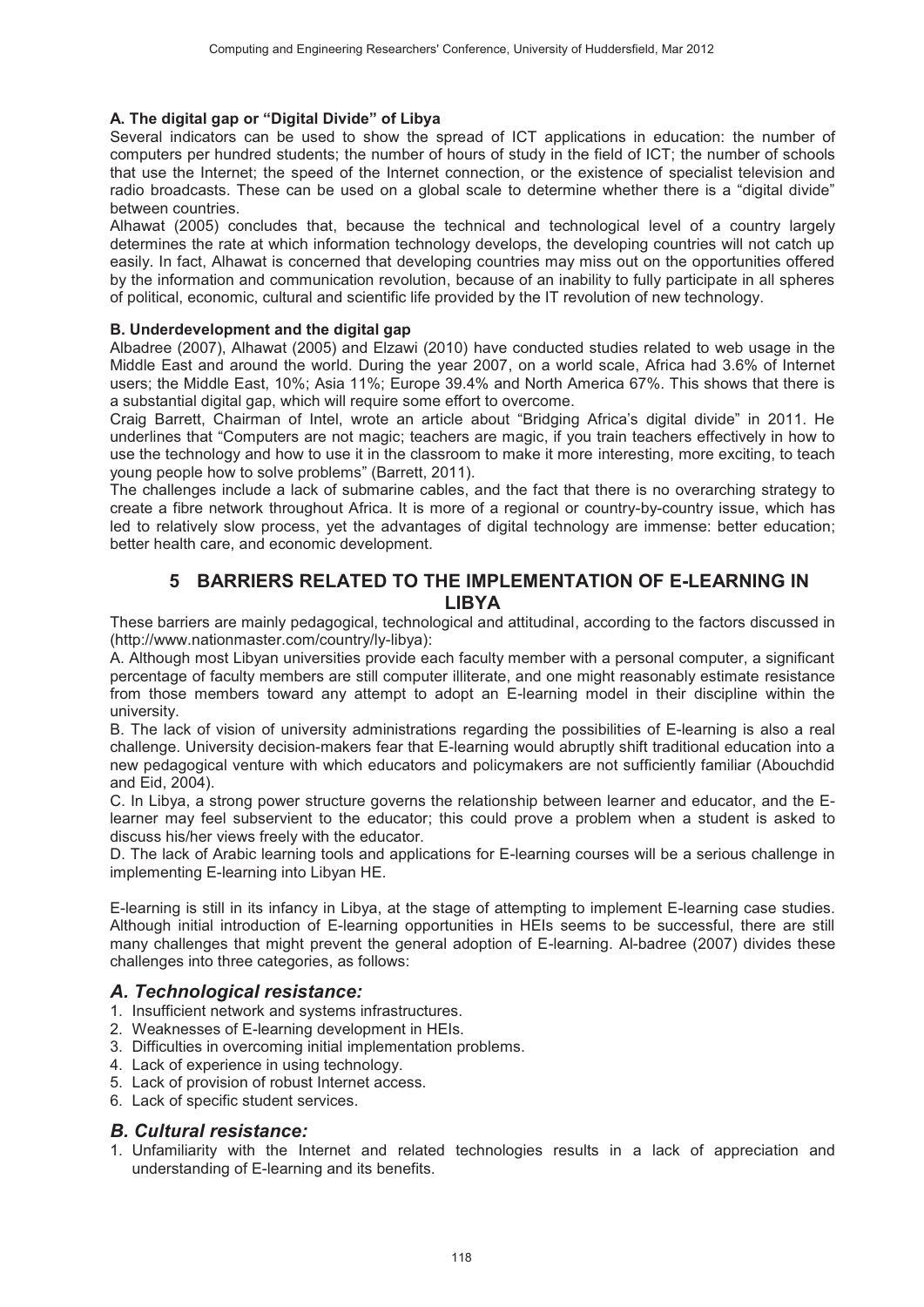#### A. The digital gap or "Digital Divide" of Libya

Several indicators can be used to show the spread of ICT applications in education: the number of computers per hundred students; the number of hours of study in the field of ICT; the number of schools that use the Internet; the speed of the Internet connection, or the existence of specialist television and radio broadcasts. These can be used on a global scale to determine whether there is a "digital divide" between countries.

Alhawat (2005) concludes that, because the technical and technological level of a country largely determines the rate at which information technology develops, the developing countries will not catch up easily. In fact, Alhawat is concerned that developing countries may miss out on the opportunities offered by the information and communication revolution, because of an inability to fully participate in all spheres of political, economic, cultural and scientific life provided by the IT revolution of new technology.

#### B. Underdevelopment and the digital gap

Albadree (2007), Alhawat (2005) and Elzawi (2010) have conducted studies related to web usage in the Middle East and around the world. During the year 2007, on a world scale, Africa had 3.6% of Internet users; the Middle East, 10%; Asia 11%; Europe 39.4% and North America 67%. This shows that there is a substantial digital gap, which will require some effort to overcome.

Craig Barrett, Chairman of Intel, wrote an article about "Bridging Africa's digital divide" in 2011. He underlines that "Computers are not magic; teachers are magic, if you train teachers effectively in how to use the technology and how to use it in the classroom to make it more interesting, more exciting, to teach young people how to solve problems" (Barrett, 2011).

The challenges include a lack of submarine cables, and the fact that there is no overarching strategy to create a fibre network throughout Africa. It is more of a regional or country-by-country issue, which has led to relatively slow process, yet the advantages of digital technology are immense: better education; better health care, and economic development.

## 5 BARRIERS RELATED TO THE IMPLEMENTATION OF E-LEARNING IN **LIBYA**

These barriers are mainly pedagogical, technological and attitudinal, according to the factors discussed in (http://www.nationmaster.com/country/ly-libya);

A. Although most Libyan universities provide each faculty member with a personal computer, a significant percentage of faculty members are still computer illiterate, and one might reasonably estimate resistance from those members toward any attempt to adopt an E-learning model in their discipline within the university.

B. The lack of vision of university administrations regarding the possibilities of E-learning is also a real challenge. University decision-makers fear that E-learning would abruptly shift traditional education into a new pedagogical venture with which educators and policymakers are not sufficiently familiar (Abouchdid and Eid. 2004).

C. In Libya, a strong power structure governs the relationship between learner and educator, and the Elearner may feel subservient to the educator; this could prove a problem when a student is asked to discuss his/her views freely with the educator.

D. The lack of Arabic learning tools and applications for E-learning courses will be a serious challenge in implementing E-learning into Libyan HE.

E-learning is still in its infancy in Libya, at the stage of attempting to implement E-learning case studies. Although initial introduction of E-learning opportunities in HEIs seems to be successful, there are still many challenges that might prevent the general adoption of E-learning. Al-badree (2007) divides these challenges into three categories, as follows:

#### A. Technological resistance:

- 1. Insufficient network and systems infrastructures.
- 2. Weaknesses of E-learning development in HEIs.
- 3. Difficulties in overcoming initial implementation problems.
- 4. Lack of experience in using technology.
- 5. Lack of provision of robust Internet access.
- 6. Lack of specific student services.

#### **B. Cultural resistance:**

1. Unfamiliarity with the Internet and related technologies results in a lack of appreciation and understanding of E-learning and its benefits.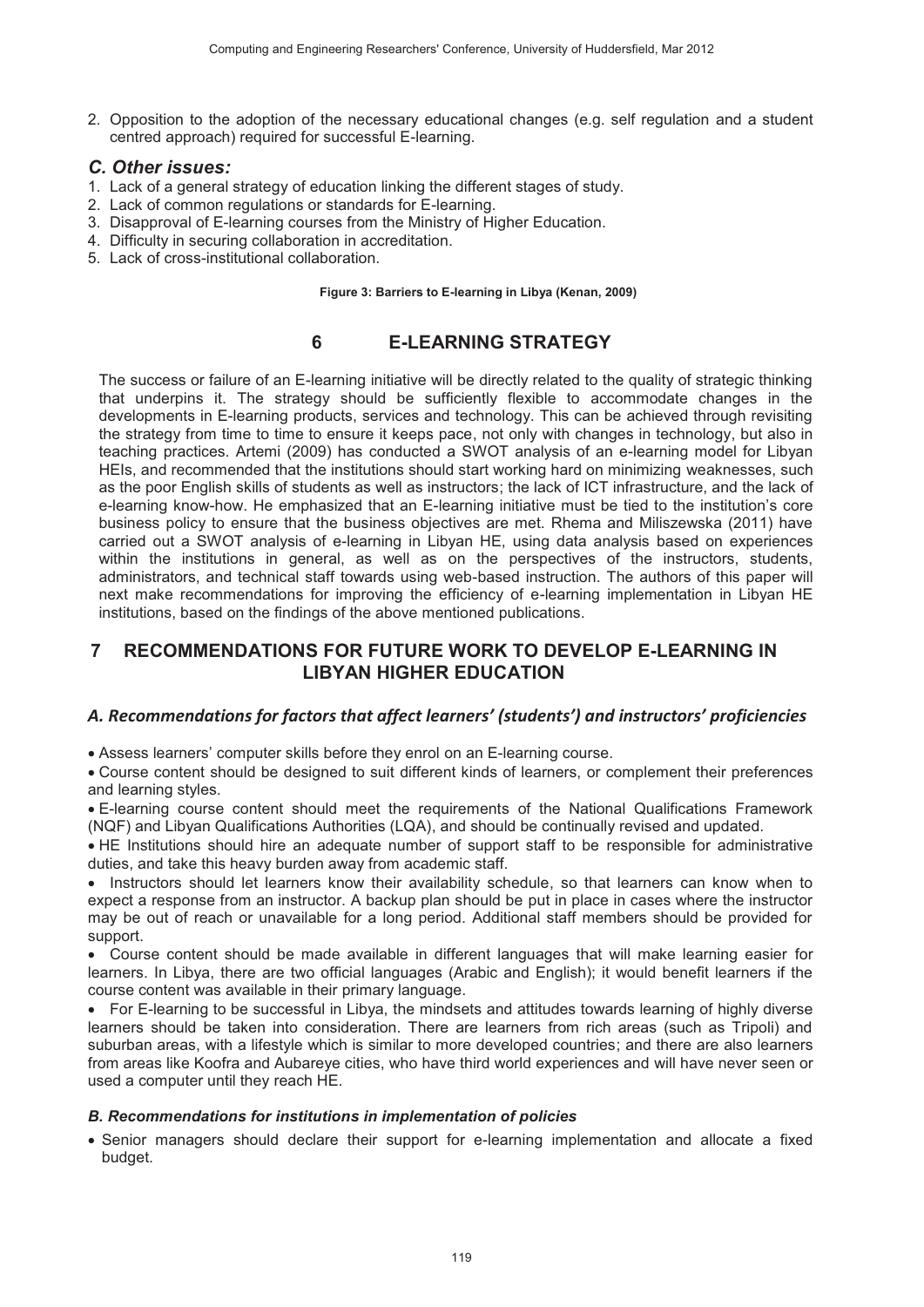2. Opposition to the adoption of the necessary educational changes (e.g. self regulation and a student centred approach) required for successful E-learning.

### *C. Other issues:*

- 1. Lack of a general strategy of education linking the different stages of study.
- 2. Lack of common regulations or standards for E-learning.
- 3. Disapproval of E-learning courses from the Ministry of Higher Education.
- 4. Difficulty in securing collaboration in accreditation.
- 5. Lack of cross-institutional collaboration.

**Figure 3: Barriers to E-learning in Libya (Kenan, 2009)** 

# **6 E-LEARNING STRATEGY**

The success or failure of an E-learning initiative will be directly related to the quality of strategic thinking that underpins it. The strategy should be sufficiently flexible to accommodate changes in the developments in E-learning products, services and technology. This can be achieved through revisiting the strategy from time to time to ensure it keeps pace, not only with changes in technology, but also in teaching practices. Artemi (2009) has conducted a SWOT analysis of an e-learning model for Libyan HEIs, and recommended that the institutions should start working hard on minimizing weaknesses, such as the poor English skills of students as well as instructors; the lack of ICT infrastructure, and the lack of e-learning know-how. He emphasized that an E-learning initiative must be tied to the institution's core business policy to ensure that the business objectives are met. Rhema and Miliszewska (2011) have carried out a SWOT analysis of e-learning in Libyan HE, using data analysis based on experiences within the institutions in general, as well as on the perspectives of the instructors, students, administrators, and technical staff towards using web-based instruction. The authors of this paper will next make recommendations for improving the efficiency of e-learning implementation in Libyan HE institutions, based on the findings of the above mentioned publications.

# **7 RECOMMENDATIONS FOR FUTURE WORK TO DEVELOP E-LEARNING IN LIBYAN HIGHER EDUCATION**

## *A. Recommendations for factors that affect learners' (students') and instructors' proficiencies*

• Assess learners' computer skills before they enrol on an E-learning course.

• Course content should be designed to suit different kinds of learners, or complement their preferences and learning styles.

• E-learning course content should meet the requirements of the National Qualifications Framework (NQF) and Libyan Qualifications Authorities (LQA), and should be continually revised and updated.

• HE Institutions should hire an adequate number of support staff to be responsible for administrative duties, and take this heavy burden away from academic staff.

• Instructors should let learners know their availability schedule, so that learners can know when to expect a response from an instructor. A backup plan should be put in place in cases where the instructor may be out of reach or unavailable for a long period. Additional staff members should be provided for support.

 $\bullet$ Course content should be made available in different languages that will make learning easier for learners. In Libya, there are two official languages (Arabic and English); it would benefit learners if the course content was available in their primary language.

• For E-learning to be successful in Libya, the mindsets and attitudes towards learning of highly diverse learners should be taken into consideration. There are learners from rich areas (such as Tripoli) and suburban areas, with a lifestyle which is similar to more developed countries; and there are also learners from areas like Koofra and Aubareye cities, who have third world experiences and will have never seen or used a computer until they reach HE.

#### *B. Recommendations for institutions in implementation of policies*

• Senior managers should declare their support for e-learning implementation and allocate a fixed budget.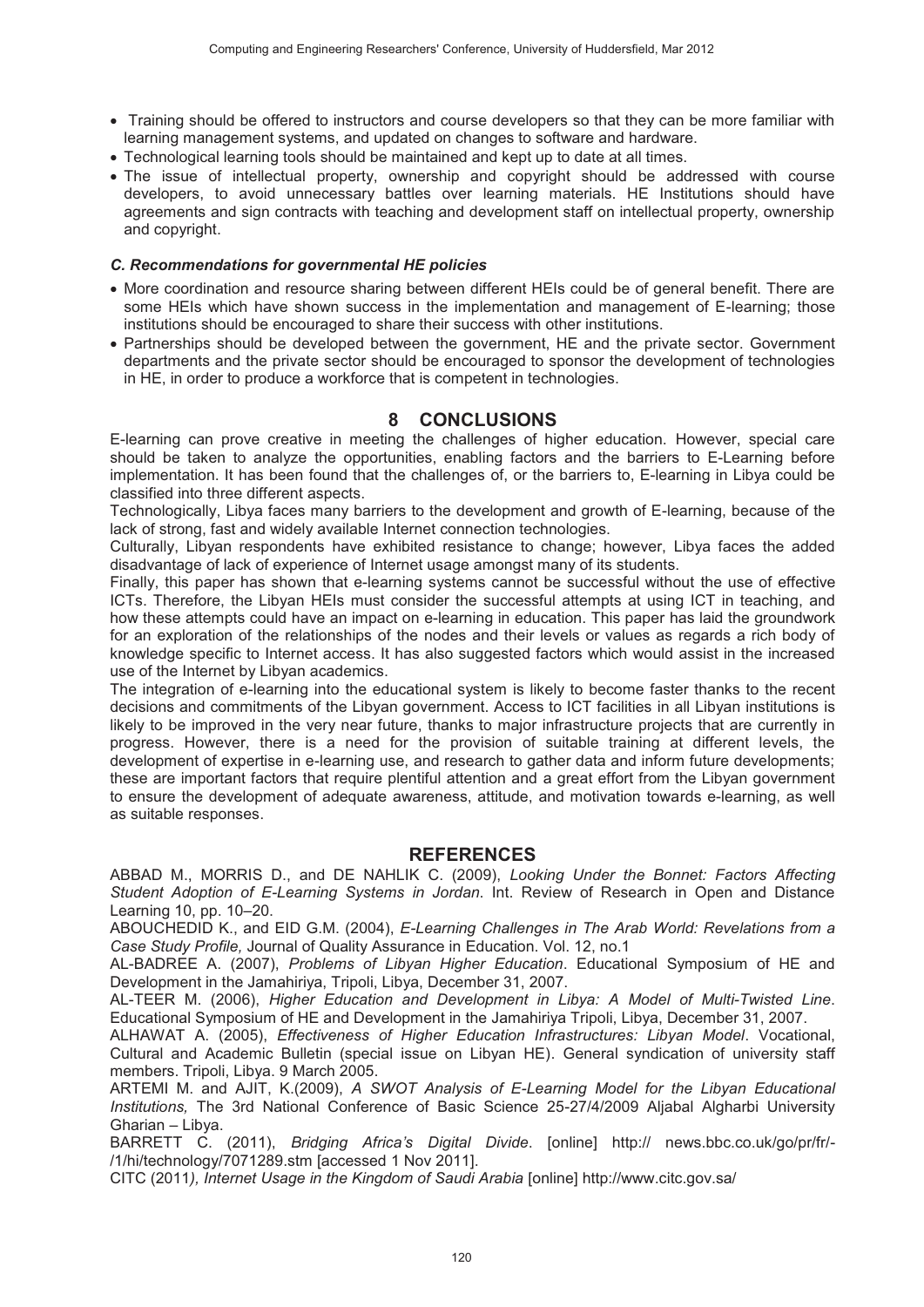- Training should be offered to instructors and course developers so that they can be more familiar with learning management systems, and updated on changes to software and hardware.
- Technological learning tools should be maintained and kept up to date at all times.
- The issue of intellectual property, ownership and copyright should be addressed with course developers, to avoid unnecessary battles over learning materials. HE Institutions should have agreements and sign contracts with teaching and development staff on intellectual property, ownership and copyright.

#### *C. Recommendations for governmental HE policies*

- More coordination and resource sharing between different HEIs could be of general benefit. There are some HEIs which have shown success in the implementation and management of E-learning; those institutions should be encouraged to share their success with other institutions.
- Partnerships should be developed between the government, HE and the private sector. Government departments and the private sector should be encouraged to sponsor the development of technologies in HE, in order to produce a workforce that is competent in technologies.

# **8 CONCLUSIONS**

E-learning can prove creative in meeting the challenges of higher education. However, special care should be taken to analyze the opportunities, enabling factors and the barriers to E-Learning before implementation. It has been found that the challenges of, or the barriers to, E-learning in Libya could be classified into three different aspects.

Technologically, Libya faces many barriers to the development and growth of E-learning, because of the lack of strong, fast and widely available Internet connection technologies.

Culturally, Libyan respondents have exhibited resistance to change; however, Libya faces the added disadvantage of lack of experience of Internet usage amongst many of its students.

Finally, this paper has shown that e-learning systems cannot be successful without the use of effective ICTs. Therefore, the Libyan HEIs must consider the successful attempts at using ICT in teaching, and how these attempts could have an impact on e-learning in education. This paper has laid the groundwork for an exploration of the relationships of the nodes and their levels or values as regards a rich body of knowledge specific to Internet access. It has also suggested factors which would assist in the increased use of the Internet by Libyan academics.

The integration of e-learning into the educational system is likely to become faster thanks to the recent decisions and commitments of the Libyan government. Access to ICT facilities in all Libyan institutions is likely to be improved in the very near future, thanks to major infrastructure projects that are currently in progress. However, there is a need for the provision of suitable training at different levels, the development of expertise in e-learning use, and research to gather data and inform future developments; these are important factors that require plentiful attention and a great effort from the Libyan government to ensure the development of adequate awareness, attitude, and motivation towards e-learning, as well as suitable responses.

## **REFERENCES**

ABBAD M., MORRIS D., and DE NAHLIK C. (2009), Looking Under the Bonnet: Factors Affecting Student Adoption of E-Learning Systems in Jordan. Int. Review of Research in Open and Distance Learning 10, pp. 10-20.

ABOUCHEDID K., and EID G.M. (2004), E-Learning Challenges in The Arab World: Revelations from a Case Study Profile, Journal of Quality Assurance in Education. Vol. 12, no.1

AL-BADREE A. (2007), *Problems of Libyan Higher Education*. Educational Symposium of HE and Development in the Jamahiriya, Tripoli, Libya, December 31, 2007.

AL-TEER M. (2006), *Higher Education and Development in Libya: A Model of Multi-Twisted Line*. Educational Symposium of HE and Development in the Jamahiriya Tripoli, Libya, December 31, 2007.

ALHAWAT A. (2005), *Effectiveness of Higher Education Infrastructures: Libyan Model*. Vocational, Cultural and Academic Bulletin (special issue on Libyan HE). General syndication of university staff members. Tripoli, Libya. 9 March 2005.

ARTEMI M. and AJIT, K.(2009), A SWOT Analysis of E-Learning Model for the Libyan Educational Institutions, The 3rd National Conference of Basic Science 25-27/4/2009 Aljabal Algharbi University Gharian – Libya.

BARRETT C. (2011), *Bridging Africa's Digital Divide*. [online] http:// news.bbc.co.uk/go/pr/fr/-/1/hi/technology/7071289.stm [accessed 1 Nov 2011].

CITC (2011), Internet Usage in the Kingdom of Saudi Arabia [online] http://www.citc.gov.sa/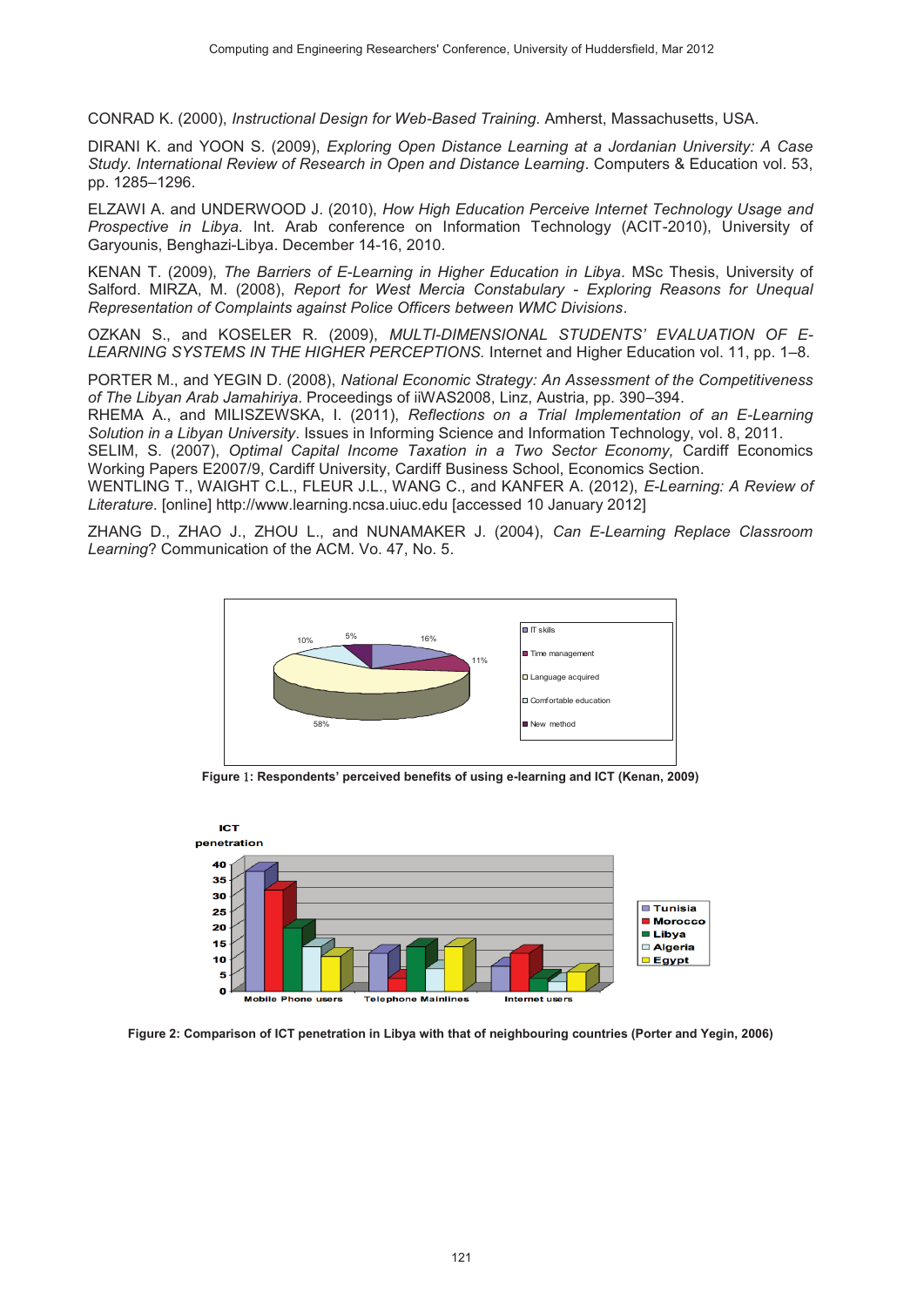CONRAD K. (2000), *Instructional Design for Web-Based Training*. Amherst, Massachusetts, USA.

DIRANI K. and YOON S. (2009), *Exploring Open Distance Learning at a Jordanian University: A Case* Study. International Review of Research in Open and Distance Learning. Computers & Education vol. 53, pp. 1285–1296.

ELZAWI A. and UNDERWOOD J. (2010), How High Education Perceive Internet Technology Usage and Prospective in Libya. Int. Arab conference on Information Technology (ACIT-2010), University of Garyounis, Benghazi-Libya. December 14-16, 2010.

KENAN T. (2009), *The Barriers of E-Learning in Higher Education in Libya*. MSc Thesis, University of Salford. MIRZA, M. (2008), Report for West Mercia Constabulary - Exploring Reasons for Unequal *Representation of Complaints against Police Officers between WMC Divisions.* 

OZKAN S., and KOSELER R. (2009), *MULTI-DIMENSIONAL STUDENTS' EVALUATION OF E-*LEARNING SYSTEMS IN THE HIGHER PERCEPTIONS. Internet and Higher Education vol. 11, pp. 1–8.

PORTER M., and YEGIN D. (2008), National Economic Strategy: An Assessment of the Competitiveness of The Libyan Arab Jamahiriya. Proceedings of iiWAS2008, Linz, Austria, pp. 390–394.

RHEMA A., and MILISZEWSKA, I. (2011), *Reflections on a Trial Implementation of an E-Learning* Solution in a Libyan University. Issues in Informing Science and Information Technology, vol. 8, 2011.

SELIM, S. (2007), Optimal Capital Income Taxation in a Two Sector Economy, Cardiff Economics Working Papers E2007/9, Cardiff University, Cardiff Business School, Economics Section.

WENTLING T., WAIGHT C.L., FLEUR J.L., WANG C., and KANFER A. (2012), *E-Learning: A Review of* Literature. [online] http://www.learning.ncsa.uiuc.edu [accessed 10 January 2012]

ZHANG D., ZHAO J., ZHOU L., and NUNAMAKER J. (2004), *Can E-Learning Replace Classroom* Learning? Communication of the ACM. Vo. 47, No. 5.



**Figure** #**: Respondents' perceived benefits of using e-learning and ICT (Kenan, 2009)** 



**Figure 2: Comparison of ICT penetration in Libya with that of neighbouring countries (Porter and Yegin, 2006)**